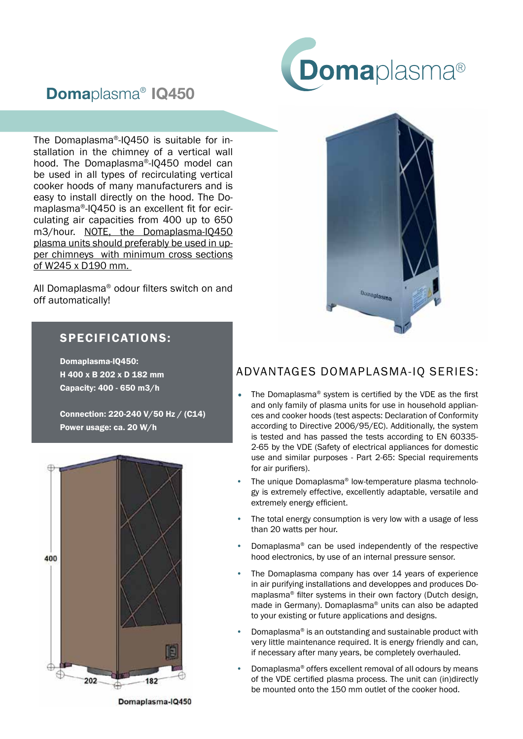

## Domaplasma<sup>®</sup> IQ450

The Domaplasma®-IQ450 is suitable for installation in the chimney of a vertical wall hood. The Domaplasma®-IQ450 model can be used in all types of recirculating vertical cooker hoods of many manufacturers and is easy to install directly on the hood. The Domaplasma®-IQ450 is an excellent fit for ecirculating air capacities from 400 up to 650 m3/hour. NOTE, the Domaplasma-IQ450 plasma units should preferably be used in upper chimneys with minimum cross sections of W245 x D190 mm.

All Domaplasma® odour filters switch on and off automatically!



## SPECIFICATIONS:

Domaplasma-IQ450: H 400 x B 202 x D 182 mm Capacity: 400 - 650 m3/h

Connection: 220-240 V/50 Hz / (C14) Power usage: ca. 20 W/h



## ADVANTAGES DOMAPLASMA-IQ SERIES:

- The Domaplasma® system is certified by the VDE as the first and only family of plasma units for use in household appliances and cooker hoods (test aspects: Declaration of Conformity according to Directive 2006/95/EC). Additionally, the system is tested and has passed the tests according to EN 60335- 2-65 by the VDE (Safety of electrical appliances for domestic use and similar purposes - Part 2-65: Special requirements for air purifiers).
- The unique Domaplasma® low-temperature plasma technology is extremely effective, excellently adaptable, versatile and extremely energy efficient.
- The total energy consumption is very low with a usage of less than 20 watts per hour.
- Domaplasma® can be used independently of the respective hood electronics, by use of an internal pressure sensor.
- The Domaplasma company has over 14 years of experience in air purifying installations and developpes and produces Domaplasma® filter systems in their own factory (Dutch design, made in Germany). Domaplasma® units can also be adapted to your existing or future applications and designs.
- Domaplasma® is an outstanding and sustainable product with very little maintenance required. It is energy friendly and can, if necessary after many years, be completely overhauled.
- Domaplasma® offers excellent removal of all odours by means of the VDE certified plasma process. The unit can (in)directly be mounted onto the 150 mm outlet of the cooker hood.

Domaplasma-IQ450